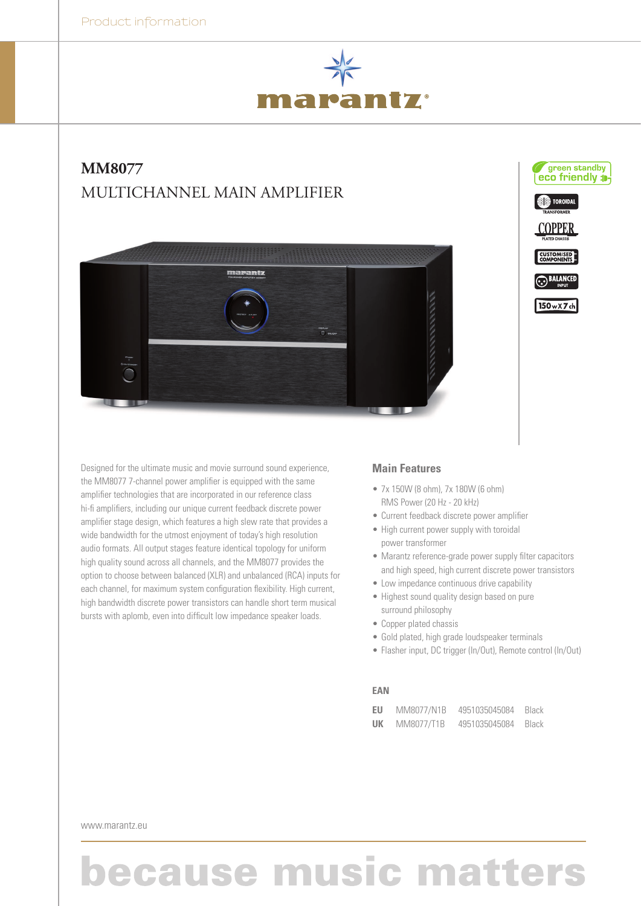

## **MM8077**  Multichannel Main Amplifier





### **Main Features**

- 7x 150W (8 ohm), 7x 180W (6 ohm) RMS Power (20 Hz - 20 kHz)
- Current feedback discrete power amplifier
- High current power supply with toroidal power transformer
- • Marantz reference-grade power supply filter capacitors and high speed, high current discrete power transistors

green standby eco friendly :

**SI**S TOROIDAL

 $150wXZch$ 

- Low impedance continuous drive capability
- Highest sound quality design based on pure surround philosophy
- Copper plated chassis
- Gold plated, high grade loudspeaker terminals
- Flasher input, DC trigger (In/Out), Remote control (In/Out)

#### **EAN**

| EU | MM8077/N1B | 4951035045084 | Black        |
|----|------------|---------------|--------------|
| UK | MM8077/T1B | 4951035045084 | <b>Black</b> |

www.marantz.eu

# **because music matters**